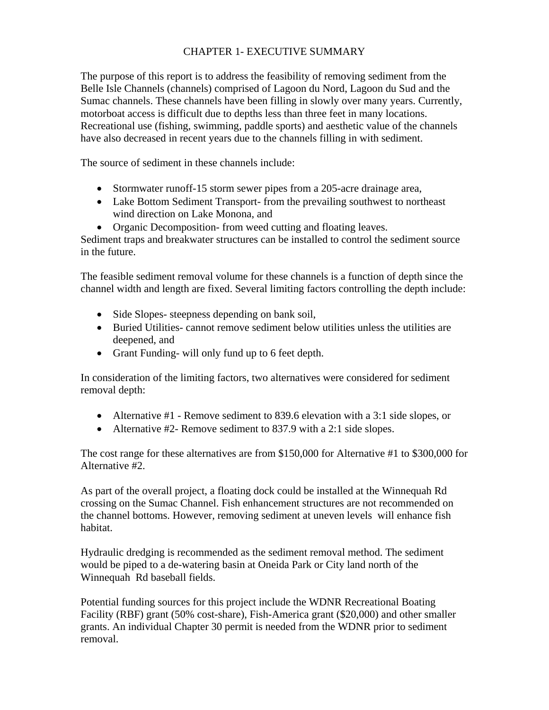# CHAPTER 1- EXECUTIVE SUMMARY

The purpose of this report is to address the feasibility of removing sediment from the Belle Isle Channels (channels) comprised of Lagoon du Nord, Lagoon du Sud and the Sumac channels. These channels have been filling in slowly over many years. Currently, motorboat access is difficult due to depths less than three feet in many locations. Recreational use (fishing, swimming, paddle sports) and aesthetic value of the channels have also decreased in recent years due to the channels filling in with sediment.

The source of sediment in these channels include:

- Stormwater runoff-15 storm sewer pipes from a 205-acre drainage area,
- Lake Bottom Sediment Transport- from the prevailing southwest to northeast wind direction on Lake Monona, and
- Organic Decomposition- from weed cutting and floating leaves.

Sediment traps and breakwater structures can be installed to control the sediment source in the future.

The feasible sediment removal volume for these channels is a function of depth since the channel width and length are fixed. Several limiting factors controlling the depth include:

- Side Slopes-steepness depending on bank soil,
- Buried Utilities- cannot remove sediment below utilities unless the utilities are deepened, and
- Grant Funding- will only fund up to 6 feet depth.

In consideration of the limiting factors, two alternatives were considered for sediment removal depth:

- Alternative #1 Remove sediment to 839.6 elevation with a 3:1 side slopes, or
- Alternative #2- Remove sediment to 837.9 with a 2:1 side slopes.

The cost range for these alternatives are from \$150,000 for Alternative #1 to \$300,000 for Alternative #2.

As part of the overall project, a floating dock could be installed at the Winnequah Rd crossing on the Sumac Channel. Fish enhancement structures are not recommended on the channel bottoms. However, removing sediment at uneven levels will enhance fish habitat.

Hydraulic dredging is recommended as the sediment removal method. The sediment would be piped to a de-watering basin at Oneida Park or City land north of the Winnequah Rd baseball fields.

Potential funding sources for this project include the WDNR Recreational Boating Facility (RBF) grant (50% cost-share), Fish-America grant (\$20,000) and other smaller grants. An individual Chapter 30 permit is needed from the WDNR prior to sediment removal.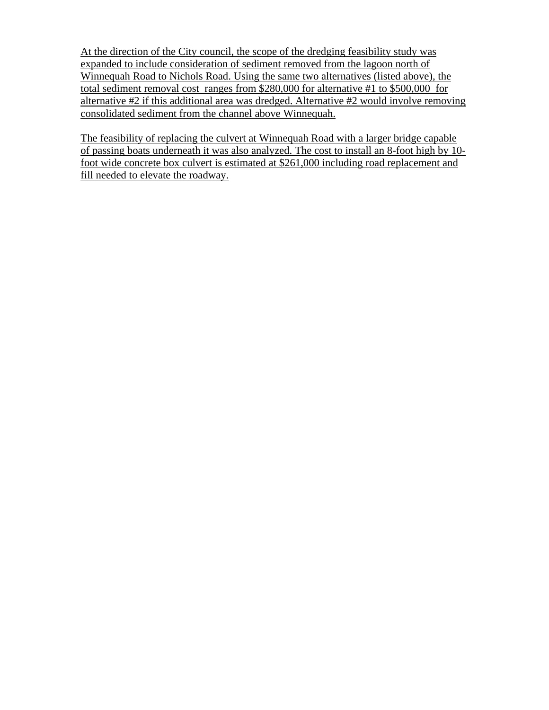At the direction of the City council, the scope of the dredging feasibility study was expanded to include consideration of sediment removed from the lagoon north of Winnequah Road to Nichols Road. Using the same two alternatives (listed above), the total sediment removal cost ranges from \$280,000 for alternative #1 to \$500,000 for alternative #2 if this additional area was dredged. Alternative #2 would involve removing consolidated sediment from the channel above Winnequah.

The feasibility of replacing the culvert at Winnequah Road with a larger bridge capable of passing boats underneath it was also analyzed. The cost to install an 8-foot high by 10 foot wide concrete box culvert is estimated at \$261,000 including road replacement and fill needed to elevate the roadway.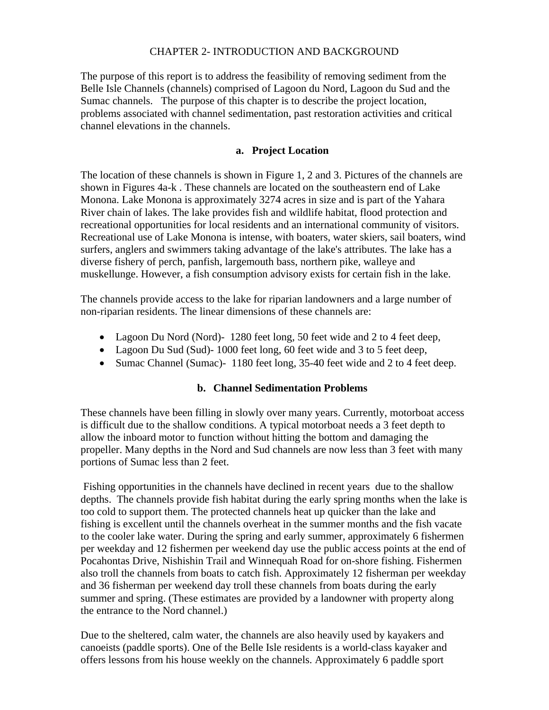#### CHAPTER 2- INTRODUCTION AND BACKGROUND

The purpose of this report is to address the feasibility of removing sediment from the Belle Isle Channels (channels) comprised of Lagoon du Nord, Lagoon du Sud and the Sumac channels. The purpose of this chapter is to describe the project location, problems associated with channel sedimentation, past restoration activities and critical channel elevations in the channels.

#### **a. Project Location**

The location of these channels is shown in Figure 1, 2 and 3. Pictures of the channels are shown in Figures 4a-k . These channels are located on the southeastern end of Lake Monona. Lake Monona is approximately 3274 acres in size and is part of the Yahara River chain of lakes. The lake provides fish and wildlife habitat, flood protection and recreational opportunities for local residents and an international community of visitors. Recreational use of Lake Monona is intense, with boaters, water skiers, sail boaters, wind surfers, anglers and swimmers taking advantage of the lake's attributes. The lake has a diverse fishery of perch, panfish, largemouth bass, northern pike, walleye and muskellunge. However, a fish consumption advisory exists for certain fish in the lake.

The channels provide access to the lake for riparian landowners and a large number of non-riparian residents. The linear dimensions of these channels are:

- Lagoon Du Nord (Nord) 1280 feet long, 50 feet wide and 2 to 4 feet deep,
- Lagoon Du Sud (Sud)-1000 feet long, 60 feet wide and 3 to 5 feet deep,
- Sumac Channel (Sumac)- 1180 feet long, 35-40 feet wide and 2 to 4 feet deep.

#### **b. Channel Sedimentation Problems**

These channels have been filling in slowly over many years. Currently, motorboat access is difficult due to the shallow conditions. A typical motorboat needs a 3 feet depth to allow the inboard motor to function without hitting the bottom and damaging the propeller. Many depths in the Nord and Sud channels are now less than 3 feet with many portions of Sumac less than 2 feet.

 Fishing opportunities in the channels have declined in recent years due to the shallow depths. The channels provide fish habitat during the early spring months when the lake is too cold to support them. The protected channels heat up quicker than the lake and fishing is excellent until the channels overheat in the summer months and the fish vacate to the cooler lake water. During the spring and early summer, approximately 6 fishermen per weekday and 12 fishermen per weekend day use the public access points at the end of Pocahontas Drive, Nishishin Trail and Winnequah Road for on-shore fishing. Fishermen also troll the channels from boats to catch fish. Approximately 12 fisherman per weekday and 36 fisherman per weekend day troll these channels from boats during the early summer and spring. (These estimates are provided by a landowner with property along the entrance to the Nord channel.)

Due to the sheltered, calm water, the channels are also heavily used by kayakers and canoeists (paddle sports). One of the Belle Isle residents is a world-class kayaker and offers lessons from his house weekly on the channels. Approximately 6 paddle sport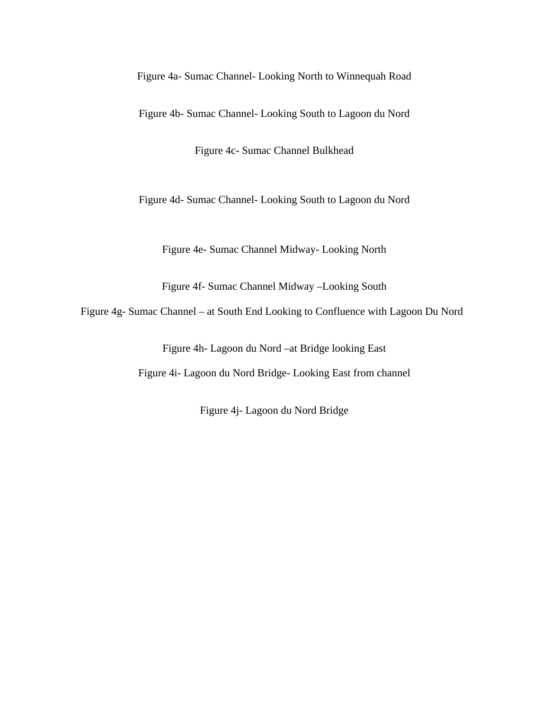Figure 4a- Sumac Channel- Looking North to Winnequah Road

Figure 4b- Sumac Channel- Looking South to Lagoon du Nord

Figure 4c- Sumac Channel Bulkhead

Figure 4d- Sumac Channel- Looking South to Lagoon du Nord

Figure 4e- Sumac Channel Midway- Looking North

Figure 4f- Sumac Channel Midway –Looking South

Figure 4g- Sumac Channel – at South End Looking to Confluence with Lagoon Du Nord

Figure 4h- Lagoon du Nord –at Bridge looking East

Figure 4i- Lagoon du Nord Bridge- Looking East from channel

Figure 4j- Lagoon du Nord Bridge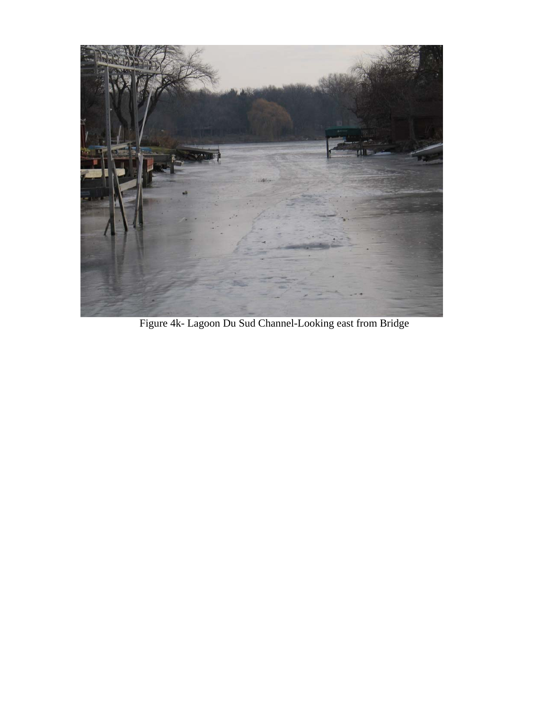

Figure 4k- Lagoon Du Sud Channel-Looking east from Bridge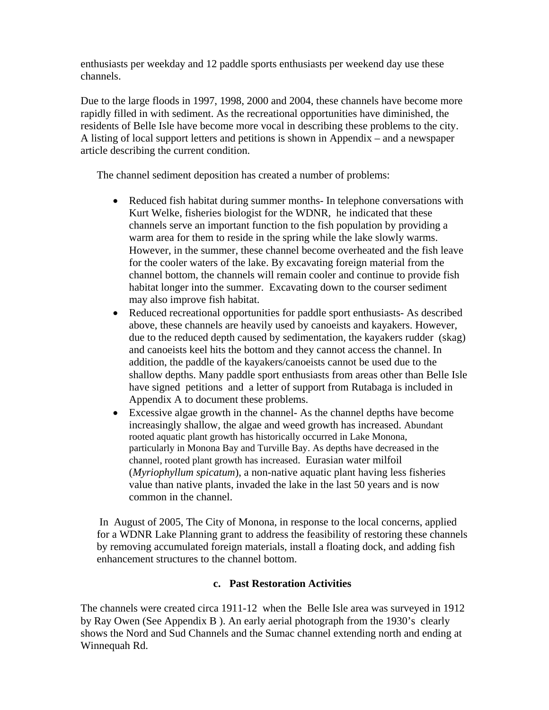enthusiasts per weekday and 12 paddle sports enthusiasts per weekend day use these channels.

Due to the large floods in 1997, 1998, 2000 and 2004, these channels have become more rapidly filled in with sediment. As the recreational opportunities have diminished, the residents of Belle Isle have become more vocal in describing these problems to the city. A listing of local support letters and petitions is shown in Appendix – and a newspaper article describing the current condition.

The channel sediment deposition has created a number of problems:

- Reduced fish habitat during summer months- In telephone conversations with Kurt Welke, fisheries biologist for the WDNR, he indicated that these channels serve an important function to the fish population by providing a warm area for them to reside in the spring while the lake slowly warms. However, in the summer, these channel become overheated and the fish leave for the cooler waters of the lake. By excavating foreign material from the channel bottom, the channels will remain cooler and continue to provide fish habitat longer into the summer. Excavating down to the courser sediment may also improve fish habitat.
- Reduced recreational opportunities for paddle sport enthusiasts- As described above, these channels are heavily used by canoeists and kayakers. However, due to the reduced depth caused by sedimentation, the kayakers rudder (skag) and canoeists keel hits the bottom and they cannot access the channel. In addition, the paddle of the kayakers/canoeists cannot be used due to the shallow depths. Many paddle sport enthusiasts from areas other than Belle Isle have signed petitions and a letter of support from Rutabaga is included in Appendix A to document these problems.
- Excessive algae growth in the channel- As the channel depths have become increasingly shallow, the algae and weed growth has increased. Abundant rooted aquatic plant growth has historically occurred in Lake Monona, particularly in Monona Bay and Turville Bay. As depths have decreased in the channel, rooted plant growth has increased. Eurasian water milfoil (*Myriophyllum spicatum*), a non-native aquatic plant having less fisheries value than native plants, invaded the lake in the last 50 years and is now common in the channel.

 In August of 2005, The City of Monona, in response to the local concerns, applied for a WDNR Lake Planning grant to address the feasibility of restoring these channels by removing accumulated foreign materials, install a floating dock, and adding fish enhancement structures to the channel bottom.

## **c. Past Restoration Activities**

The channels were created circa 1911-12 when the Belle Isle area was surveyed in 1912 by Ray Owen (See Appendix B ). An early aerial photograph from the 1930's clearly shows the Nord and Sud Channels and the Sumac channel extending north and ending at Winnequah Rd.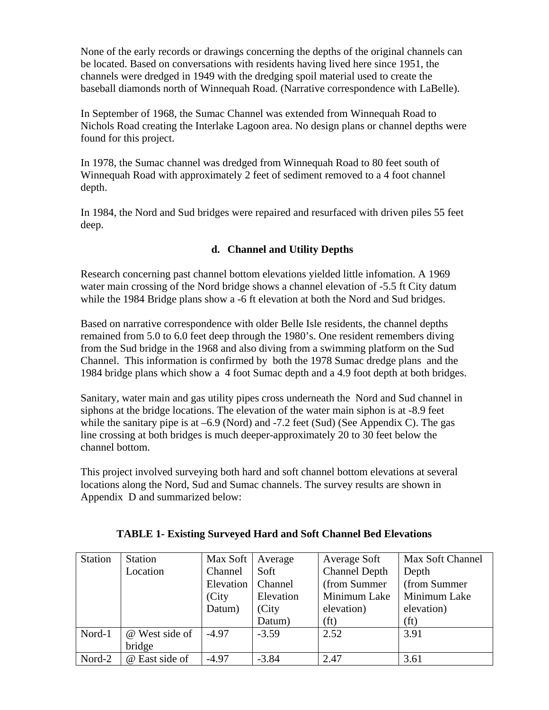None of the early records or drawings concerning the depths of the original channels can be located. Based on conversations with residents having lived here since 1951, the channels were dredged in 1949 with the dredging spoil material used to create the baseball diamonds north of Winnequah Road. (Narrative correspondence with LaBelle).

In September of 1968, the Sumac Channel was extended from Winnequah Road to Nichols Road creating the Interlake Lagoon area. No design plans or channel depths were found for this project.

In 1978, the Sumac channel was dredged from Winnequah Road to 80 feet south of Winnequah Road with approximately 2 feet of sediment removed to a 4 foot channel depth.

In 1984, the Nord and Sud bridges were repaired and resurfaced with driven piles 55 feet deep.

# **d. Channel and Utility Depths**

Research concerning past channel bottom elevations yielded little infomation. A 1969 water main crossing of the Nord bridge shows a channel elevation of -5.5 ft City datum while the 1984 Bridge plans show a -6 ft elevation at both the Nord and Sud bridges.

Based on narrative correspondence with older Belle Isle residents, the channel depths remained from 5.0 to 6.0 feet deep through the 1980's. One resident remembers diving from the Sud bridge in the 1968 and also diving from a swimming platform on the Sud Channel. This information is confirmed by both the 1978 Sumac dredge plans and the 1984 bridge plans which show a 4 foot Sumac depth and a 4.9 foot depth at both bridges.

Sanitary, water main and gas utility pipes cross underneath the Nord and Sud channel in siphons at the bridge locations. The elevation of the water main siphon is at -8.9 feet while the sanitary pipe is at  $-6.9$  (Nord) and  $-7.2$  feet (Sud) (See Appendix C). The gas line crossing at both bridges is much deeper-approximately 20 to 30 feet below the channel bottom.

This project involved surveying both hard and soft channel bottom elevations at several locations along the Nord, Sud and Sumac channels. The survey results are shown in Appendix D and summarized below:

| <b>Station</b> | <b>Station</b> | Max Soft  | Average   | Average Soft         | Max Soft Channel  |
|----------------|----------------|-----------|-----------|----------------------|-------------------|
|                | Location       | Channel   | Soft      | <b>Channel Depth</b> | Depth             |
|                |                | Elevation | Channel   | (from Summer         | (from Summer      |
|                |                | (City)    | Elevation | Minimum Lake         | Minimum Lake      |
|                |                | Datum)    | (City     | elevation)           | elevation)        |
|                |                |           | Datum)    | ft)                  | (f <sub>t</sub> ) |
| Nord-1         | @ West side of | $-4.97$   | $-3.59$   | 2.52                 | 3.91              |
|                | bridge         |           |           |                      |                   |
| Nord-2         | @ East side of | $-4.97$   | $-3.84$   | 2.47                 | 3.61              |

## **TABLE 1- Existing Surveyed Hard and Soft Channel Bed Elevations**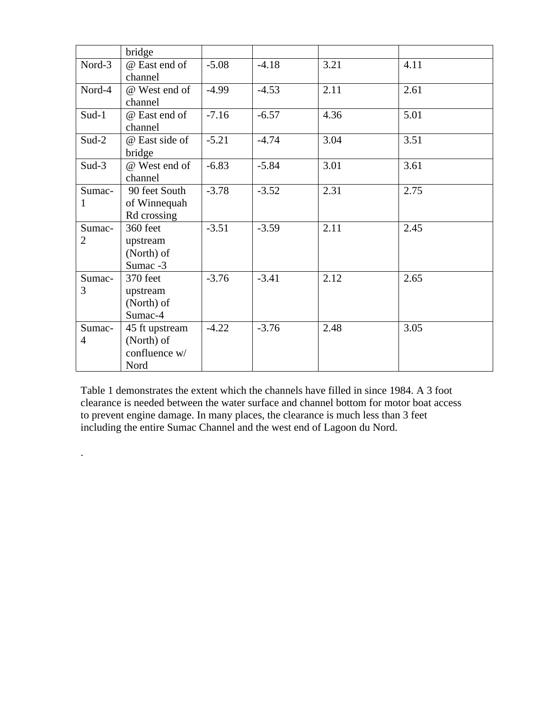|                          | bridge                                                |         |         |      |      |
|--------------------------|-------------------------------------------------------|---------|---------|------|------|
| Nord-3                   | @ East end of<br>channel                              | $-5.08$ | $-4.18$ | 3.21 | 4.11 |
| Nord-4                   | @ West end of<br>channel                              | $-4.99$ | $-4.53$ | 2.11 | 2.61 |
| $Sud-1$                  | @ East end of<br>channel                              | $-7.16$ | $-6.57$ | 4.36 | 5.01 |
| Sud-2                    | @ East side of<br>bridge                              | $-5.21$ | $-4.74$ | 3.04 | 3.51 |
| $Sud-3$                  | @ West end of<br>channel                              | $-6.83$ | $-5.84$ | 3.01 | 3.61 |
| Sumac-<br>1              | 90 feet South<br>of Winnequah<br>Rd crossing          | $-3.78$ | $-3.52$ | 2.31 | 2.75 |
| Sumac-<br>$\overline{2}$ | 360 feet<br>upstream<br>(North) of<br>Sumac -3        | $-3.51$ | $-3.59$ | 2.11 | 2.45 |
| Sumac-<br>3              | 370 feet<br>upstream<br>(North) of<br>Sumac-4         | $-3.76$ | $-3.41$ | 2.12 | 2.65 |
| Sumac-<br>$\overline{4}$ | 45 ft upstream<br>(North) of<br>confluence w/<br>Nord | $-4.22$ | $-3.76$ | 2.48 | 3.05 |

Table 1 demonstrates the extent which the channels have filled in since 1984. A 3 foot clearance is needed between the water surface and channel bottom for motor boat access to prevent engine damage. In many places, the clearance is much less than 3 feet including the entire Sumac Channel and the west end of Lagoon du Nord.

.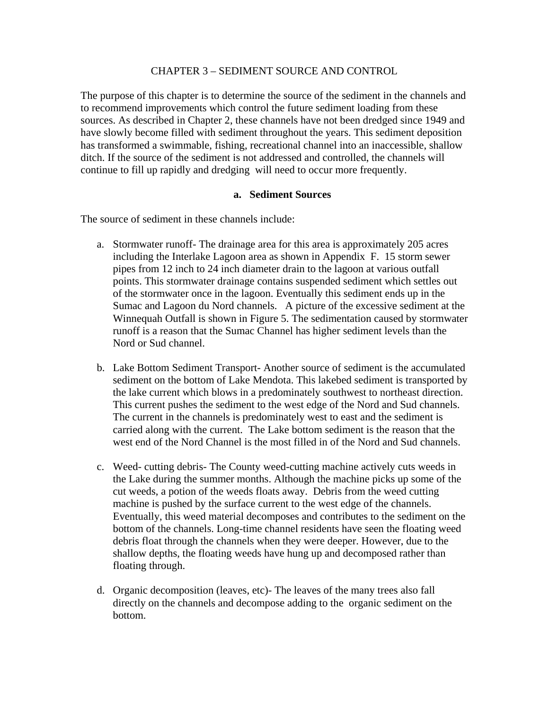#### CHAPTER 3 – SEDIMENT SOURCE AND CONTROL

The purpose of this chapter is to determine the source of the sediment in the channels and to recommend improvements which control the future sediment loading from these sources. As described in Chapter 2, these channels have not been dredged since 1949 and have slowly become filled with sediment throughout the years. This sediment deposition has transformed a swimmable, fishing, recreational channel into an inaccessible, shallow ditch. If the source of the sediment is not addressed and controlled, the channels will continue to fill up rapidly and dredging will need to occur more frequently.

#### **a. Sediment Sources**

The source of sediment in these channels include:

- a. Stormwater runoff- The drainage area for this area is approximately 205 acres including the Interlake Lagoon area as shown in Appendix F. 15 storm sewer pipes from 12 inch to 24 inch diameter drain to the lagoon at various outfall points. This stormwater drainage contains suspended sediment which settles out of the stormwater once in the lagoon. Eventually this sediment ends up in the Sumac and Lagoon du Nord channels. A picture of the excessive sediment at the Winnequah Outfall is shown in Figure 5. The sedimentation caused by stormwater runoff is a reason that the Sumac Channel has higher sediment levels than the Nord or Sud channel.
- b. Lake Bottom Sediment Transport- Another source of sediment is the accumulated sediment on the bottom of Lake Mendota. This lakebed sediment is transported by the lake current which blows in a predominately southwest to northeast direction. This current pushes the sediment to the west edge of the Nord and Sud channels. The current in the channels is predominately west to east and the sediment is carried along with the current. The Lake bottom sediment is the reason that the west end of the Nord Channel is the most filled in of the Nord and Sud channels.
- c. Weed- cutting debris- The County weed-cutting machine actively cuts weeds in the Lake during the summer months. Although the machine picks up some of the cut weeds, a potion of the weeds floats away. Debris from the weed cutting machine is pushed by the surface current to the west edge of the channels. Eventually, this weed material decomposes and contributes to the sediment on the bottom of the channels. Long-time channel residents have seen the floating weed debris float through the channels when they were deeper. However, due to the shallow depths, the floating weeds have hung up and decomposed rather than floating through.
- d. Organic decomposition (leaves, etc)- The leaves of the many trees also fall directly on the channels and decompose adding to the organic sediment on the bottom.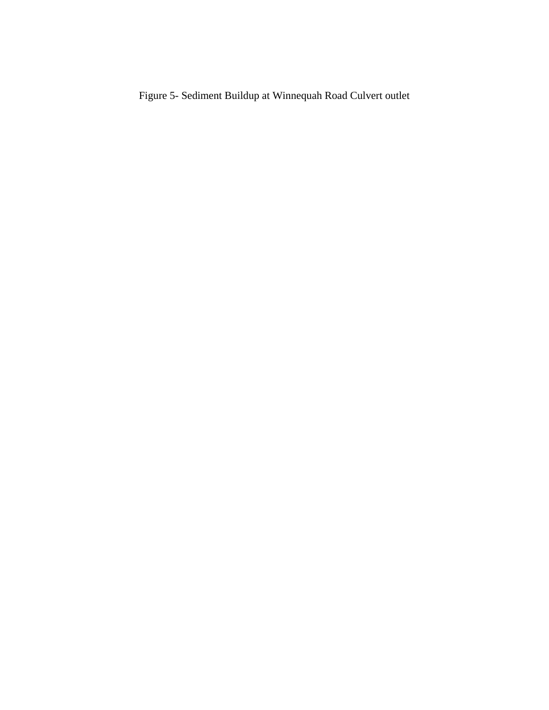Figure 5- Sediment Buildup at Winnequah Road Culvert outlet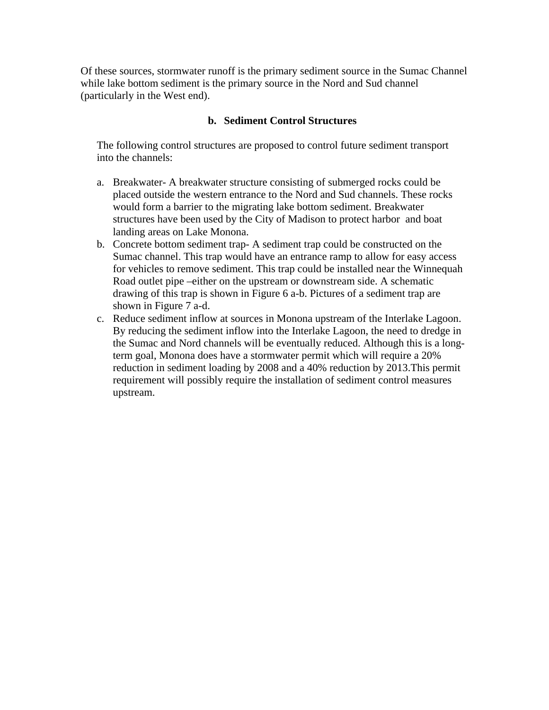Of these sources, stormwater runoff is the primary sediment source in the Sumac Channel while lake bottom sediment is the primary source in the Nord and Sud channel (particularly in the West end).

#### **b. Sediment Control Structures**

The following control structures are proposed to control future sediment transport into the channels:

- a. Breakwater- A breakwater structure consisting of submerged rocks could be placed outside the western entrance to the Nord and Sud channels. These rocks would form a barrier to the migrating lake bottom sediment. Breakwater structures have been used by the City of Madison to protect harbor and boat landing areas on Lake Monona.
- b. Concrete bottom sediment trap- A sediment trap could be constructed on the Sumac channel. This trap would have an entrance ramp to allow for easy access for vehicles to remove sediment. This trap could be installed near the Winnequah Road outlet pipe –either on the upstream or downstream side. A schematic drawing of this trap is shown in Figure 6 a-b. Pictures of a sediment trap are shown in Figure 7 a-d.
- c. Reduce sediment inflow at sources in Monona upstream of the Interlake Lagoon. By reducing the sediment inflow into the Interlake Lagoon, the need to dredge in the Sumac and Nord channels will be eventually reduced. Although this is a longterm goal, Monona does have a stormwater permit which will require a 20% reduction in sediment loading by 2008 and a 40% reduction by 2013.This permit requirement will possibly require the installation of sediment control measures upstream.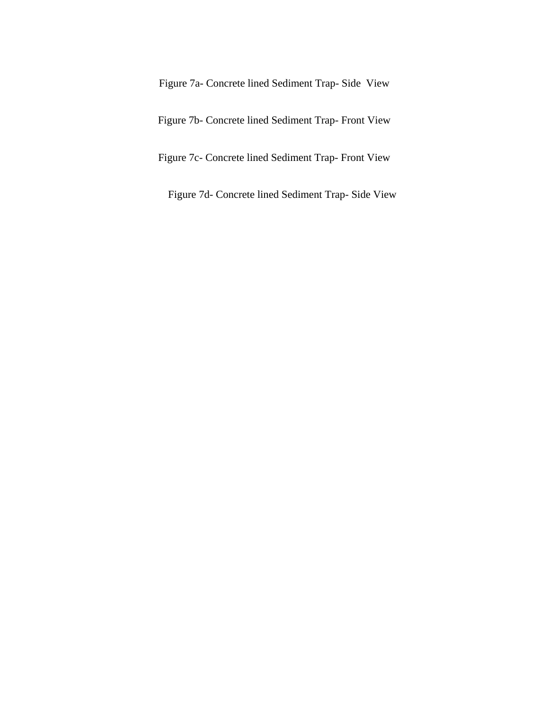Figure 7a- Concrete lined Sediment Trap- Side View

Figure 7b- Concrete lined Sediment Trap- Front View

Figure 7c- Concrete lined Sediment Trap- Front View

Figure 7d- Concrete lined Sediment Trap- Side View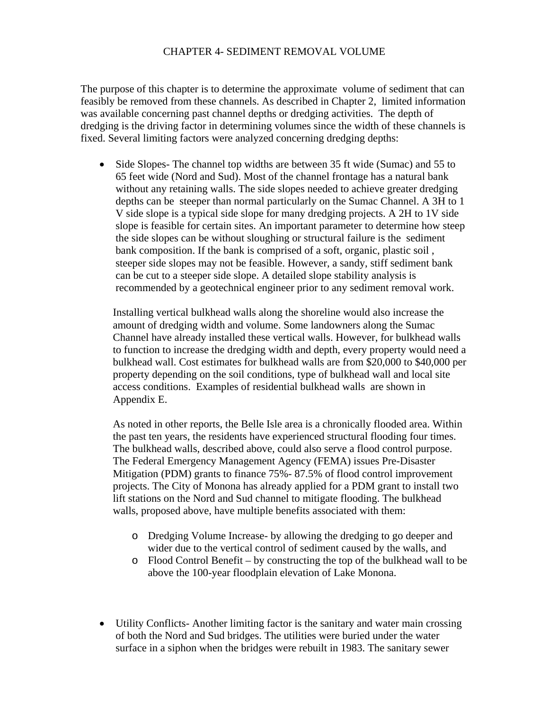#### CHAPTER 4- SEDIMENT REMOVAL VOLUME

The purpose of this chapter is to determine the approximate volume of sediment that can feasibly be removed from these channels. As described in Chapter 2, limited information was available concerning past channel depths or dredging activities. The depth of dredging is the driving factor in determining volumes since the width of these channels is fixed. Several limiting factors were analyzed concerning dredging depths:

• Side Slopes- The channel top widths are between 35 ft wide (Sumac) and 55 to 65 feet wide (Nord and Sud). Most of the channel frontage has a natural bank without any retaining walls. The side slopes needed to achieve greater dredging depths can be steeper than normal particularly on the Sumac Channel. A 3H to 1 V side slope is a typical side slope for many dredging projects. A 2H to 1V side slope is feasible for certain sites. An important parameter to determine how steep the side slopes can be without sloughing or structural failure is the sediment bank composition. If the bank is comprised of a soft, organic, plastic soil , steeper side slopes may not be feasible. However, a sandy, stiff sediment bank can be cut to a steeper side slope. A detailed slope stability analysis is recommended by a geotechnical engineer prior to any sediment removal work.

Installing vertical bulkhead walls along the shoreline would also increase the amount of dredging width and volume. Some landowners along the Sumac Channel have already installed these vertical walls. However, for bulkhead walls to function to increase the dredging width and depth, every property would need a bulkhead wall. Cost estimates for bulkhead walls are from \$20,000 to \$40,000 per property depending on the soil conditions, type of bulkhead wall and local site access conditions. Examples of residential bulkhead walls are shown in Appendix E.

As noted in other reports, the Belle Isle area is a chronically flooded area. Within the past ten years, the residents have experienced structural flooding four times. The bulkhead walls, described above, could also serve a flood control purpose. The Federal Emergency Management Agency (FEMA) issues Pre-Disaster Mitigation (PDM) grants to finance 75%- 87.5% of flood control improvement projects. The City of Monona has already applied for a PDM grant to install two lift stations on the Nord and Sud channel to mitigate flooding. The bulkhead walls, proposed above, have multiple benefits associated with them:

- o Dredging Volume Increase- by allowing the dredging to go deeper and wider due to the vertical control of sediment caused by the walls, and
- o Flood Control Benefit by constructing the top of the bulkhead wall to be above the 100-year floodplain elevation of Lake Monona.
- Utility Conflicts-Another limiting factor is the sanitary and water main crossing of both the Nord and Sud bridges. The utilities were buried under the water surface in a siphon when the bridges were rebuilt in 1983. The sanitary sewer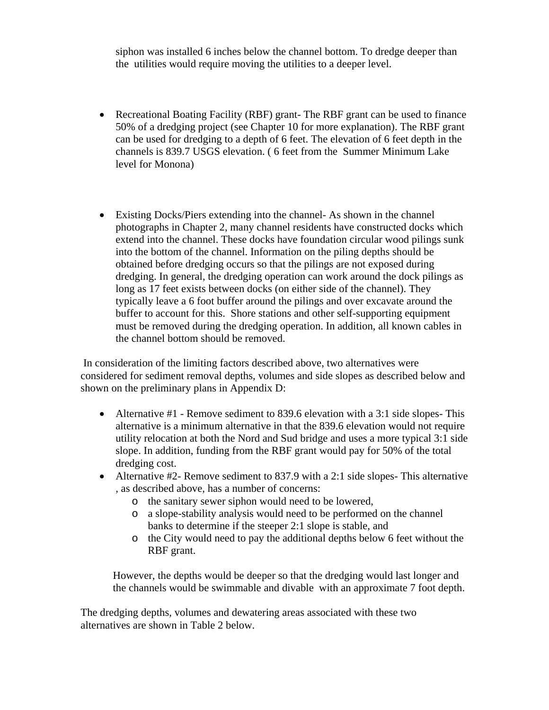siphon was installed 6 inches below the channel bottom. To dredge deeper than the utilities would require moving the utilities to a deeper level.

- Recreational Boating Facility (RBF) grant- The RBF grant can be used to finance 50% of a dredging project (see Chapter 10 for more explanation). The RBF grant can be used for dredging to a depth of 6 feet. The elevation of 6 feet depth in the channels is 839.7 USGS elevation. ( 6 feet from the Summer Minimum Lake level for Monona)
- Existing Docks/Piers extending into the channel- As shown in the channel photographs in Chapter 2, many channel residents have constructed docks which extend into the channel. These docks have foundation circular wood pilings sunk into the bottom of the channel. Information on the piling depths should be obtained before dredging occurs so that the pilings are not exposed during dredging. In general, the dredging operation can work around the dock pilings as long as 17 feet exists between docks (on either side of the channel). They typically leave a 6 foot buffer around the pilings and over excavate around the buffer to account for this. Shore stations and other self-supporting equipment must be removed during the dredging operation. In addition, all known cables in the channel bottom should be removed.

 In consideration of the limiting factors described above, two alternatives were considered for sediment removal depths, volumes and side slopes as described below and shown on the preliminary plans in Appendix D:

- Alternative #1 Remove sediment to 839.6 elevation with a 3:1 side slopes- This alternative is a minimum alternative in that the 839.6 elevation would not require utility relocation at both the Nord and Sud bridge and uses a more typical 3:1 side slope. In addition, funding from the RBF grant would pay for 50% of the total dredging cost.
- Alternative #2- Remove sediment to 837.9 with a 2:1 side slopes- This alternative , as described above, has a number of concerns:
	- o the sanitary sewer siphon would need to be lowered,
	- o a slope-stability analysis would need to be performed on the channel banks to determine if the steeper 2:1 slope is stable, and
	- o the City would need to pay the additional depths below 6 feet without the RBF grant.

However, the depths would be deeper so that the dredging would last longer and the channels would be swimmable and divable with an approximate 7 foot depth.

The dredging depths, volumes and dewatering areas associated with these two alternatives are shown in Table 2 below.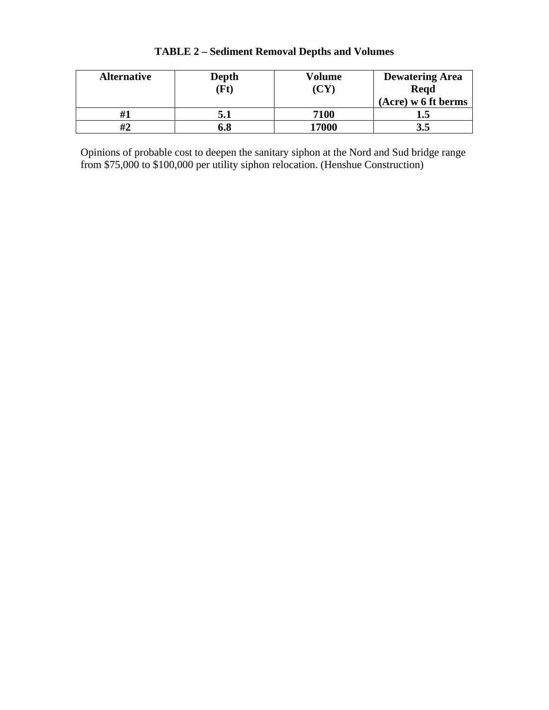| <b>Alternative</b> | <b>Depth</b> | Volume            | <b>Dewatering Area</b> |
|--------------------|--------------|-------------------|------------------------|
|                    | <b>Ft</b> )  | $({\bf C}{\bf Y}$ | <b>Regd</b>            |
|                    |              |                   | (Acre) w 6 ft berms    |
|                    | 5.1          | 7100              |                        |
| #2                 | 6.8          | 17000             |                        |

# **TABLE 2 – Sediment Removal Depths and Volumes**

Opinions of probable cost to deepen the sanitary siphon at the Nord and Sud bridge range from \$75,000 to \$100,000 per utility siphon relocation. (Henshue Construction)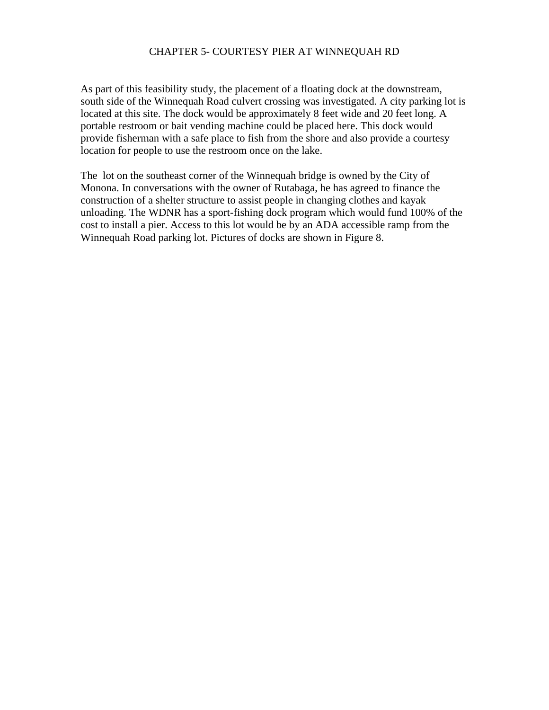#### CHAPTER 5- COURTESY PIER AT WINNEQUAH RD

As part of this feasibility study, the placement of a floating dock at the downstream, south side of the Winnequah Road culvert crossing was investigated. A city parking lot is located at this site. The dock would be approximately 8 feet wide and 20 feet long. A portable restroom or bait vending machine could be placed here. This dock would provide fisherman with a safe place to fish from the shore and also provide a courtesy location for people to use the restroom once on the lake.

The lot on the southeast corner of the Winnequah bridge is owned by the City of Monona. In conversations with the owner of Rutabaga, he has agreed to finance the construction of a shelter structure to assist people in changing clothes and kayak unloading. The WDNR has a sport-fishing dock program which would fund 100% of the cost to install a pier. Access to this lot would be by an ADA accessible ramp from the Winnequah Road parking lot. Pictures of docks are shown in Figure 8.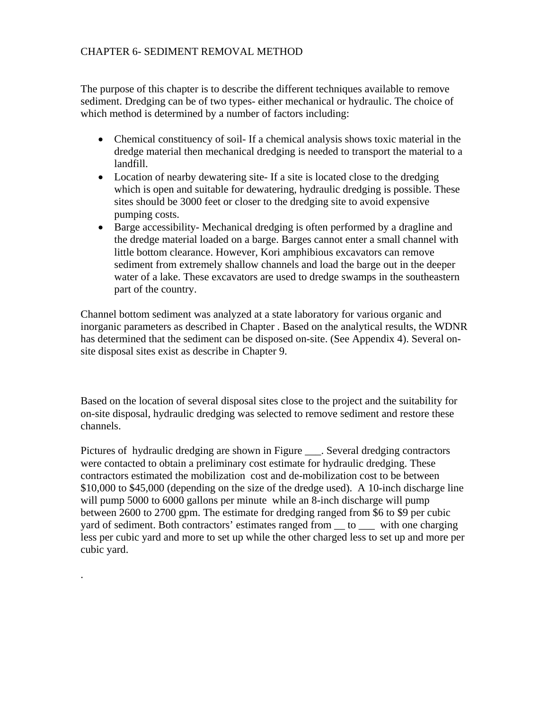## CHAPTER 6- SEDIMENT REMOVAL METHOD

The purpose of this chapter is to describe the different techniques available to remove sediment. Dredging can be of two types- either mechanical or hydraulic. The choice of which method is determined by a number of factors including:

- Chemical constituency of soil- If a chemical analysis shows toxic material in the dredge material then mechanical dredging is needed to transport the material to a landfill.
- Location of nearby dewatering site- If a site is located close to the dredging which is open and suitable for dewatering, hydraulic dredging is possible. These sites should be 3000 feet or closer to the dredging site to avoid expensive pumping costs.
- Barge accessibility- Mechanical dredging is often performed by a dragline and the dredge material loaded on a barge. Barges cannot enter a small channel with little bottom clearance. However, Kori amphibious excavators can remove sediment from extremely shallow channels and load the barge out in the deeper water of a lake. These excavators are used to dredge swamps in the southeastern part of the country.

Channel bottom sediment was analyzed at a state laboratory for various organic and inorganic parameters as described in Chapter . Based on the analytical results, the WDNR has determined that the sediment can be disposed on-site. (See Appendix 4). Several onsite disposal sites exist as describe in Chapter 9.

Based on the location of several disposal sites close to the project and the suitability for on-site disposal, hydraulic dredging was selected to remove sediment and restore these channels.

Pictures of hydraulic dredging are shown in Figure . Several dredging contractors were contacted to obtain a preliminary cost estimate for hydraulic dredging. These contractors estimated the mobilization cost and de-mobilization cost to be between \$10,000 to \$45,000 (depending on the size of the dredge used). A 10-inch discharge line will pump 5000 to 6000 gallons per minute while an 8-inch discharge will pump between 2600 to 2700 gpm. The estimate for dredging ranged from \$6 to \$9 per cubic yard of sediment. Both contractors' estimates ranged from  $\_\_$  to  $\_\_$  with one charging less per cubic yard and more to set up while the other charged less to set up and more per cubic yard.

.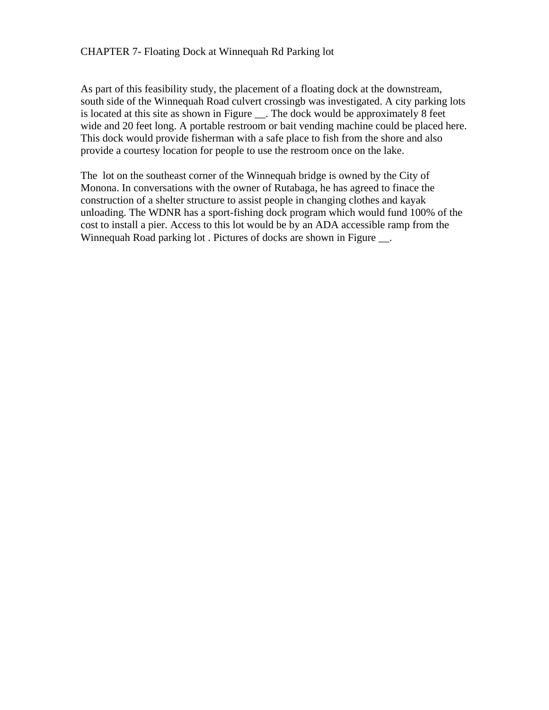#### CHAPTER 7- Floating Dock at Winnequah Rd Parking lot

As part of this feasibility study, the placement of a floating dock at the downstream, south side of the Winnequah Road culvert crossingb was investigated. A city parking lots is located at this site as shown in Figure \_\_. The dock would be approximately 8 feet wide and 20 feet long. A portable restroom or bait vending machine could be placed here. This dock would provide fisherman with a safe place to fish from the shore and also provide a courtesy location for people to use the restroom once on the lake.

The lot on the southeast corner of the Winnequah bridge is owned by the City of Monona. In conversations with the owner of Rutabaga, he has agreed to finace the construction of a shelter structure to assist people in changing clothes and kayak unloading. The WDNR has a sport-fishing dock program which would fund 100% of the cost to install a pier. Access to this lot would be by an ADA accessible ramp from the Winnequah Road parking lot . Pictures of docks are shown in Figure .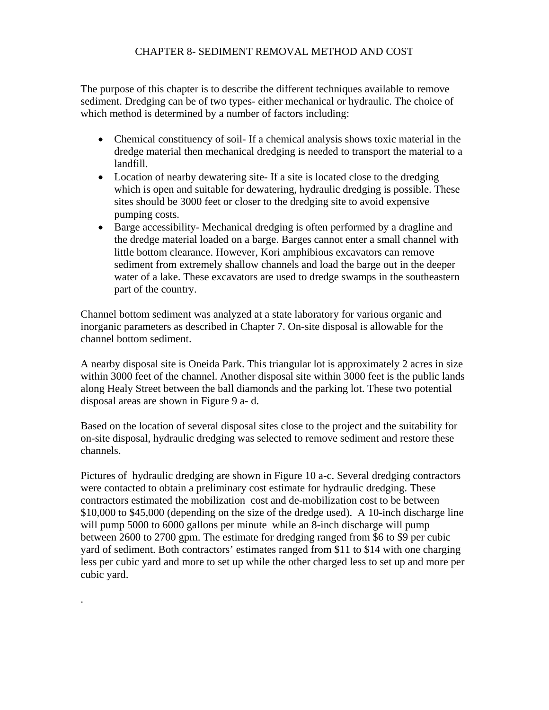## CHAPTER 8- SEDIMENT REMOVAL METHOD AND COST

The purpose of this chapter is to describe the different techniques available to remove sediment. Dredging can be of two types- either mechanical or hydraulic. The choice of which method is determined by a number of factors including:

- Chemical constituency of soil- If a chemical analysis shows toxic material in the dredge material then mechanical dredging is needed to transport the material to a landfill.
- Location of nearby dewatering site- If a site is located close to the dredging which is open and suitable for dewatering, hydraulic dredging is possible. These sites should be 3000 feet or closer to the dredging site to avoid expensive pumping costs.
- Barge accessibility- Mechanical dredging is often performed by a dragline and the dredge material loaded on a barge. Barges cannot enter a small channel with little bottom clearance. However, Kori amphibious excavators can remove sediment from extremely shallow channels and load the barge out in the deeper water of a lake. These excavators are used to dredge swamps in the southeastern part of the country.

Channel bottom sediment was analyzed at a state laboratory for various organic and inorganic parameters as described in Chapter 7. On-site disposal is allowable for the channel bottom sediment.

A nearby disposal site is Oneida Park. This triangular lot is approximately 2 acres in size within 3000 feet of the channel. Another disposal site within 3000 feet is the public lands along Healy Street between the ball diamonds and the parking lot. These two potential disposal areas are shown in Figure 9 a- d.

Based on the location of several disposal sites close to the project and the suitability for on-site disposal, hydraulic dredging was selected to remove sediment and restore these channels.

Pictures of hydraulic dredging are shown in Figure 10 a-c. Several dredging contractors were contacted to obtain a preliminary cost estimate for hydraulic dredging. These contractors estimated the mobilization cost and de-mobilization cost to be between \$10,000 to \$45,000 (depending on the size of the dredge used). A 10-inch discharge line will pump 5000 to 6000 gallons per minute while an 8-inch discharge will pump between 2600 to 2700 gpm. The estimate for dredging ranged from \$6 to \$9 per cubic yard of sediment. Both contractors' estimates ranged from \$11 to \$14 with one charging less per cubic yard and more to set up while the other charged less to set up and more per cubic yard.

.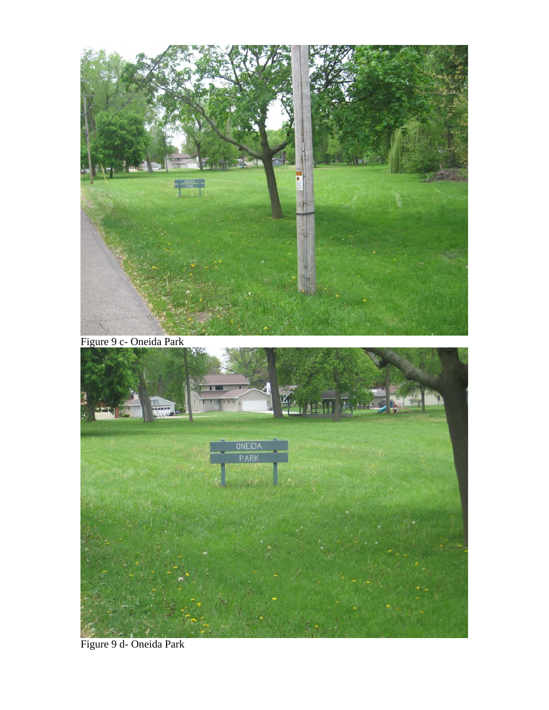

Figure 9 c- Oneida Park



Figure 9 d- Oneida Park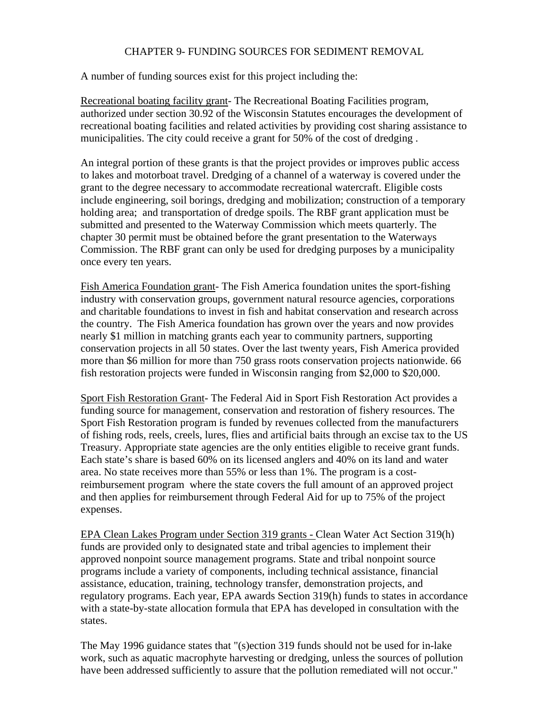## CHAPTER 9- FUNDING SOURCES FOR SEDIMENT REMOVAL

A number of funding sources exist for this project including the:

Recreational boating facility grant- The Recreational Boating Facilities program, authorized under section 30.92 of the Wisconsin Statutes encourages the development of recreational boating facilities and related activities by providing cost sharing assistance to municipalities. The city could receive a grant for 50% of the cost of dredging .

An integral portion of these grants is that the project provides or improves public access to lakes and motorboat travel. Dredging of a channel of a waterway is covered under the grant to the degree necessary to accommodate recreational watercraft. Eligible costs include engineering, soil borings, dredging and mobilization; construction of a temporary holding area; and transportation of dredge spoils. The RBF grant application must be submitted and presented to the Waterway Commission which meets quarterly. The chapter 30 permit must be obtained before the grant presentation to the Waterways Commission. The RBF grant can only be used for dredging purposes by a municipality once every ten years.

Fish America Foundation grant- The Fish America foundation unites the sport-fishing industry with conservation groups, government natural resource agencies, corporations and charitable foundations to invest in fish and habitat conservation and research across the country. The Fish America foundation has grown over the years and now provides nearly \$1 million in matching grants each year to community partners, supporting conservation projects in all 50 states. Over the last twenty years, Fish America provided more than \$6 million for more than 750 grass roots conservation projects nationwide. 66 fish restoration projects were funded in Wisconsin ranging from \$2,000 to \$20,000.

Sport Fish Restoration Grant- The Federal Aid in Sport Fish Restoration Act provides a funding source for management, conservation and restoration of fishery resources. The Sport Fish Restoration program is funded by revenues collected from the manufacturers of fishing rods, reels, creels, lures, flies and artificial baits through an excise tax to the US Treasury. Appropriate state agencies are the only entities eligible to receive grant funds. Each state's share is based 60% on its licensed anglers and 40% on its land and water area. No state receives more than 55% or less than 1%. The program is a costreimbursement program where the state covers the full amount of an approved project and then applies for reimbursement through Federal Aid for up to 75% of the project expenses.

EPA Clean Lakes Program under Section 319 grants - Clean Water Act Section 319(h) funds are provided only to designated state and tribal agencies to implement their approved nonpoint source management programs. State and tribal nonpoint source programs include a variety of components, including technical assistance, financial assistance, education, training, technology transfer, demonstration projects, and regulatory programs. Each year, EPA awards Section 319(h) funds to states in accordance with a state-by-state allocation formula that EPA has developed in consultation with the states.

The May 1996 guidance states that "(s)ection 319 funds should not be used for in-lake work, such as aquatic macrophyte harvesting or dredging, unless the sources of pollution have been addressed sufficiently to assure that the pollution remediated will not occur."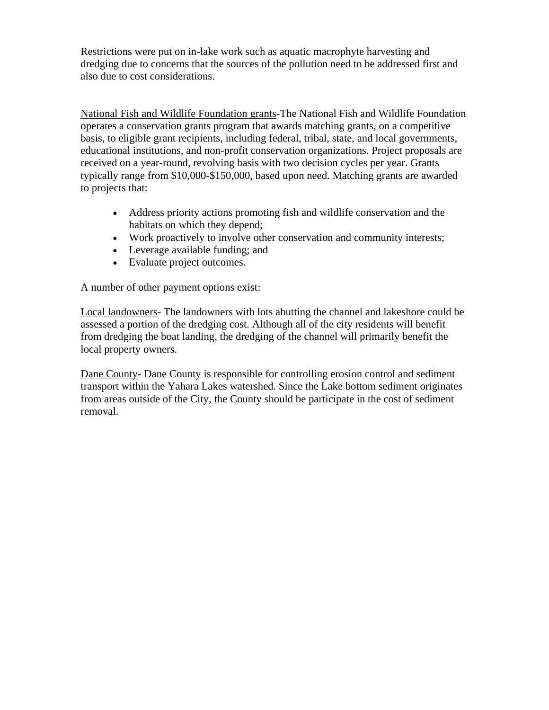Restrictions were put on in-lake work such as aquatic macrophyte harvesting and dredging due to concerns that the sources of the pollution need to be addressed first and also due to cost considerations.

National Fish and Wildlife Foundation grants-The National Fish and Wildlife Foundation operates a conservation grants program that awards matching grants, on a competitive basis, to eligible grant recipients, including federal, tribal, state, and local governments, educational institutions, and non-profit conservation organizations. Project proposals are received on a year-round, revolving basis with two decision cycles per year. Grants typically range from \$10,000-\$150,000, based upon need. Matching grants are awarded to projects that:

- Address priority actions promoting fish and wildlife conservation and the habitats on which they depend;
- Work proactively to involve other conservation and community interests;
- Leverage available funding; and
- Evaluate project outcomes.

A number of other payment options exist:

Local landowners- The landowners with lots abutting the channel and lakeshore could be assessed a portion of the dredging cost. Although all of the city residents will benefit from dredging the boat landing, the dredging of the channel will primarily benefit the local property owners.

Dane County- Dane County is responsible for controlling erosion control and sediment transport within the Yahara Lakes watershed. Since the Lake bottom sediment originates from areas outside of the City, the County should be participate in the cost of sediment removal.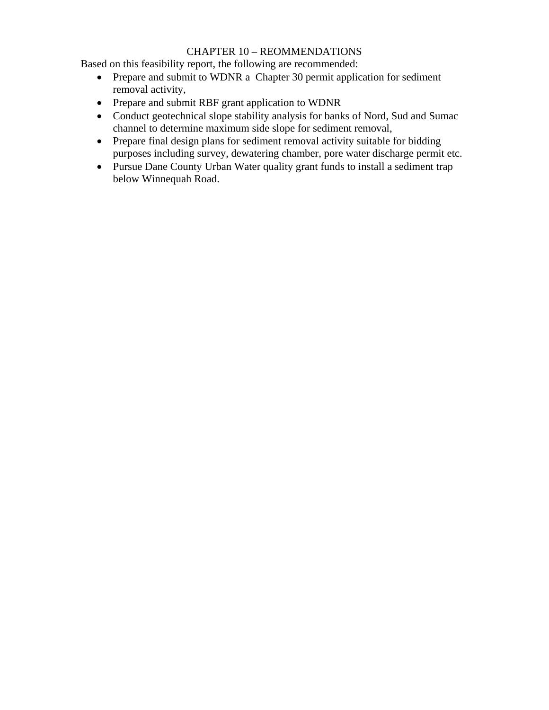# CHAPTER 10 – REOMMENDATIONS

Based on this feasibility report, the following are recommended:

- Prepare and submit to WDNR a Chapter 30 permit application for sediment removal activity,
- Prepare and submit RBF grant application to WDNR
- Conduct geotechnical slope stability analysis for banks of Nord, Sud and Sumac channel to determine maximum side slope for sediment removal,
- Prepare final design plans for sediment removal activity suitable for bidding purposes including survey, dewatering chamber, pore water discharge permit etc.
- Pursue Dane County Urban Water quality grant funds to install a sediment trap below Winnequah Road.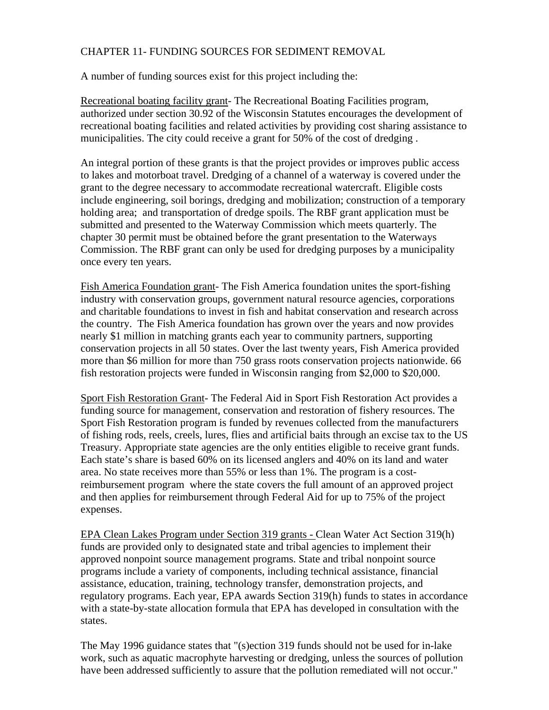# CHAPTER 11- FUNDING SOURCES FOR SEDIMENT REMOVAL

A number of funding sources exist for this project including the:

Recreational boating facility grant- The Recreational Boating Facilities program, authorized under section 30.92 of the Wisconsin Statutes encourages the development of recreational boating facilities and related activities by providing cost sharing assistance to municipalities. The city could receive a grant for 50% of the cost of dredging .

An integral portion of these grants is that the project provides or improves public access to lakes and motorboat travel. Dredging of a channel of a waterway is covered under the grant to the degree necessary to accommodate recreational watercraft. Eligible costs include engineering, soil borings, dredging and mobilization; construction of a temporary holding area; and transportation of dredge spoils. The RBF grant application must be submitted and presented to the Waterway Commission which meets quarterly. The chapter 30 permit must be obtained before the grant presentation to the Waterways Commission. The RBF grant can only be used for dredging purposes by a municipality once every ten years.

Fish America Foundation grant- The Fish America foundation unites the sport-fishing industry with conservation groups, government natural resource agencies, corporations and charitable foundations to invest in fish and habitat conservation and research across the country. The Fish America foundation has grown over the years and now provides nearly \$1 million in matching grants each year to community partners, supporting conservation projects in all 50 states. Over the last twenty years, Fish America provided more than \$6 million for more than 750 grass roots conservation projects nationwide. 66 fish restoration projects were funded in Wisconsin ranging from \$2,000 to \$20,000.

Sport Fish Restoration Grant- The Federal Aid in Sport Fish Restoration Act provides a funding source for management, conservation and restoration of fishery resources. The Sport Fish Restoration program is funded by revenues collected from the manufacturers of fishing rods, reels, creels, lures, flies and artificial baits through an excise tax to the US Treasury. Appropriate state agencies are the only entities eligible to receive grant funds. Each state's share is based 60% on its licensed anglers and 40% on its land and water area. No state receives more than 55% or less than 1%. The program is a costreimbursement program where the state covers the full amount of an approved project and then applies for reimbursement through Federal Aid for up to 75% of the project expenses.

EPA Clean Lakes Program under Section 319 grants - Clean Water Act Section 319(h) funds are provided only to designated state and tribal agencies to implement their approved nonpoint source management programs. State and tribal nonpoint source programs include a variety of components, including technical assistance, financial assistance, education, training, technology transfer, demonstration projects, and regulatory programs. Each year, EPA awards Section 319(h) funds to states in accordance with a state-by-state allocation formula that EPA has developed in consultation with the states.

The May 1996 guidance states that "(s)ection 319 funds should not be used for in-lake work, such as aquatic macrophyte harvesting or dredging, unless the sources of pollution have been addressed sufficiently to assure that the pollution remediated will not occur."